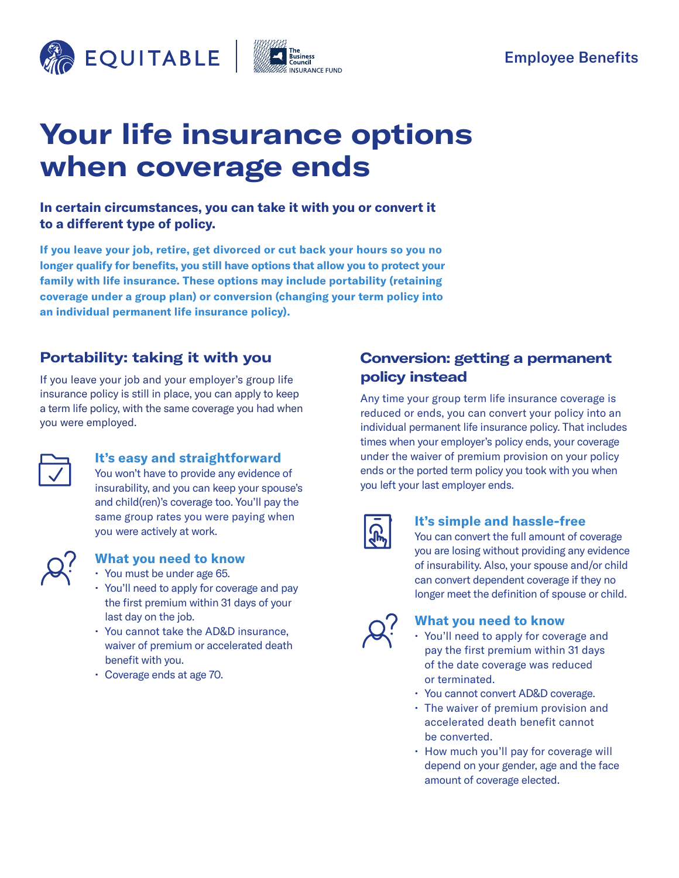



# **Your life insurance options when coverage ends**

### **In certain circumstances, you can take it with you or convert it to a different type of policy.**

**If you leave your job, retire, get divorced or cut back your hours so you no longer qualify for benefits, you still have options that allow you to protect your family with life insurance. These options may include portability (retaining coverage under a group plan) or conversion (changing your term policy into an individual permanent life insurance policy).**

# **Portability: taking it with you**

If you leave your job and your employer's group life insurance policy is still in place, you can apply to keep a term life policy, with the same coverage you had when you were employed.



#### **It's easy and straightforward**

You won't have to provide any evidence of insurability, and you can keep your spouse's and child(ren)'s coverage too. You'll pay the same group rates you were paying when you were actively at work.



## **What you need to know**

- You must be under age 65.
- You'll need to apply for coverage and pay the first premium within 31 days of your last day on the job.
- You cannot take the AD&D insurance, waiver of premium or accelerated death benefit with you.
- Coverage ends at age 70.

# **Conversion: getting a permanent policy instead**

Any time your group term life insurance coverage is reduced or ends, you can convert your policy into an individual permanent life insurance policy. That includes times when your employer's policy ends, your coverage under the waiver of premium provision on your policy ends or the ported term policy you took with you when you left your last employer ends.

|--|

#### **It's simple and hassle-free**

You can convert the full amount of coverage you are losing without providing any evidence of insurability. Also, your spouse and/or child can convert dependent coverage if they no longer meet the definition of spouse or child.



#### **What you need to know**

- You'll need to apply for coverage and pay the first premium within 31 days of the date coverage was reduced or terminated.
- You cannot convert AD&D coverage.
- The waiver of premium provision and accelerated death benefit cannot be converted.
- How much you'll pay for coverage will depend on your gender, age and the face amount of coverage elected.